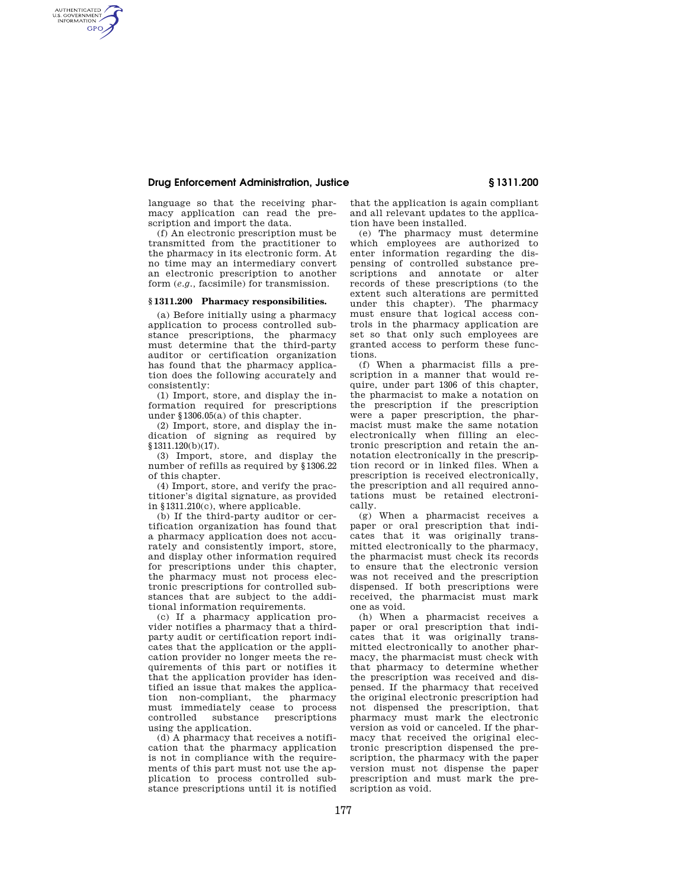## **Drug Enforcement Administration, Justice § 1311.200**

AUTHENTICATED<br>U.S. GOVERNMENT<br>INFORMATION **GPO** 

> language so that the receiving pharmacy application can read the prescription and import the data.

> (f) An electronic prescription must be transmitted from the practitioner to the pharmacy in its electronic form. At no time may an intermediary convert an electronic prescription to another form (*e.g.,* facsimile) for transmission.

## **§ 1311.200 Pharmacy responsibilities.**

(a) Before initially using a pharmacy application to process controlled substance prescriptions, the pharmacy must determine that the third-party auditor or certification organization has found that the pharmacy application does the following accurately and consistently:

(1) Import, store, and display the information required for prescriptions under §1306.05(a) of this chapter.

(2) Import, store, and display the indication of signing as required by §1311.120(b)(17).

(3) Import, store, and display the number of refills as required by §1306.22 of this chapter.

(4) Import, store, and verify the practitioner's digital signature, as provided in §1311.210(c), where applicable.

(b) If the third-party auditor or certification organization has found that a pharmacy application does not accurately and consistently import, store, and display other information required for prescriptions under this chapter, the pharmacy must not process electronic prescriptions for controlled substances that are subject to the additional information requirements.

(c) If a pharmacy application provider notifies a pharmacy that a thirdparty audit or certification report indicates that the application or the application provider no longer meets the requirements of this part or notifies it that the application provider has identified an issue that makes the application non-compliant, the pharmacy must immediately cease to process controlled substance prescriptions using the application.

(d) A pharmacy that receives a notification that the pharmacy application is not in compliance with the requirements of this part must not use the application to process controlled substance prescriptions until it is notified that the application is again compliant and all relevant updates to the application have been installed.

(e) The pharmacy must determine which employees are authorized to enter information regarding the dispensing of controlled substance prescriptions and annotate or alter records of these prescriptions (to the extent such alterations are permitted under this chapter). The pharmacy must ensure that logical access controls in the pharmacy application are set so that only such employees are granted access to perform these functions.

(f) When a pharmacist fills a prescription in a manner that would require, under part 1306 of this chapter, the pharmacist to make a notation on the prescription if the prescription were a paper prescription, the pharmacist must make the same notation electronically when filling an electronic prescription and retain the annotation electronically in the prescription record or in linked files. When a prescription is received electronically, the prescription and all required annotations must be retained electronically.

(g) When a pharmacist receives a paper or oral prescription that indicates that it was originally transmitted electronically to the pharmacy, the pharmacist must check its records to ensure that the electronic version was not received and the prescription dispensed. If both prescriptions were received, the pharmacist must mark one as void.

(h) When a pharmacist receives a paper or oral prescription that indicates that it was originally transmitted electronically to another pharmacy, the pharmacist must check with that pharmacy to determine whether the prescription was received and dispensed. If the pharmacy that received the original electronic prescription had not dispensed the prescription, that pharmacy must mark the electronic version as void or canceled. If the pharmacy that received the original electronic prescription dispensed the prescription, the pharmacy with the paper version must not dispense the paper prescription and must mark the prescription as void.